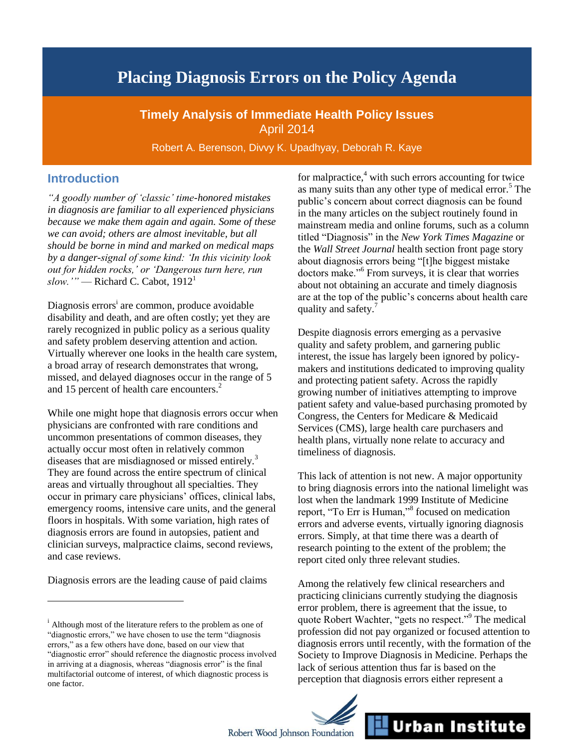# **Placing Diagnosis Errors on the Policy Agenda**

**Timely Analysis of Immediate Health Policy Issues** April 2014

Robert A. Berenson, Divvy K. Upadhyay, Deborah R. Kaye

### **Introduction**

*"A goodly number of 'classic' time-honored mistakes in diagnosis are familiar to all experienced physicians because we make them again and again. Some of these we can avoid; others are almost inevitable, but all should be borne in mind and marked on medical maps by a danger-signal of some kind: 'In this vicinity look out for hidden rocks,' or 'Dangerous turn here, run slow.'"* — Richard C. Cabot, 1912 1

Diagnosis errors<sup>i</sup> are common, produce avoidable disability and death, and are often costly; yet they are rarely recognized in public policy as a serious quality and safety problem deserving attention and action. Virtually wherever one looks in the health care system, a broad array of research demonstrates that wrong, missed, and delayed diagnoses occur in the range of 5 and 15 percent of health care encounters.<sup>2</sup>

While one might hope that diagnosis errors occur when physicians are confronted with rare conditions and uncommon presentations of common diseases, they actually occur most often in relatively common diseases that are misdiagnosed or missed entirely.<sup>3</sup> They are found across the entire spectrum of clinical areas and virtually throughout all specialties. They occur in primary care physicians' offices, clinical labs, emergency rooms, intensive care units, and the general floors in hospitals. With some variation, high rates of diagnosis errors are found in autopsies, patient and clinician surveys, malpractice claims, second reviews, and case reviews.

Diagnosis errors are the leading cause of paid claims

 $\overline{a}$ 

for malpractice, $4$  with such errors accounting for twice as many suits than any other type of medical error. $5$  The public's concern about correct diagnosis can be found in the many articles on the subject routinely found in mainstream media and online forums, such as a column titled "Diagnosis" in the *New York Times Magazine* or the *Wall Street Journal* health section front page story about diagnosis errors being "[t]he biggest mistake doctors make."<sup>6</sup> From surveys, it is clear that worries about not obtaining an accurate and timely diagnosis are at the top of the public's concerns about health care quality and safety.<sup>7</sup>

Despite diagnosis errors emerging as a pervasive quality and safety problem, and garnering public interest, the issue has largely been ignored by policymakers and institutions dedicated to improving quality and protecting patient safety. Across the rapidly growing number of initiatives attempting to improve patient safety and value-based purchasing promoted by Congress, the Centers for Medicare & Medicaid Services (CMS), large health care purchasers and health plans, virtually none relate to accuracy and timeliness of diagnosis.

This lack of attention is not new. A major opportunity to bring diagnosis errors into the national limelight was lost when the landmark 1999 Institute of Medicine report, "To Err is Human,"<sup>8</sup> focused on medication errors and adverse events, virtually ignoring diagnosis errors. Simply, at that time there was a dearth of research pointing to the extent of the problem; the report cited only three relevant studies.

Among the relatively few clinical researchers and practicing clinicians currently studying the diagnosis error problem, there is agreement that the issue, to quote Robert Wachter, "gets no respect."<sup>9</sup> The medical profession did not pay organized or focused attention to diagnosis errors until recently, with the formation of the Society to Improve Diagnosis in Medicine. Perhaps the lack of serious attention thus far is based on the perception that diagnosis errors either represent a



<sup>&</sup>lt;sup>i</sup> Although most of the literature refers to the problem as one of "diagnostic errors," we have chosen to use the term "diagnosis errors," as a few others have done, based on our view that "diagnostic error" should reference the diagnostic process involved in arriving at a diagnosis, whereas "diagnosis error" is the final multifactorial outcome of interest, of which diagnostic process is one factor.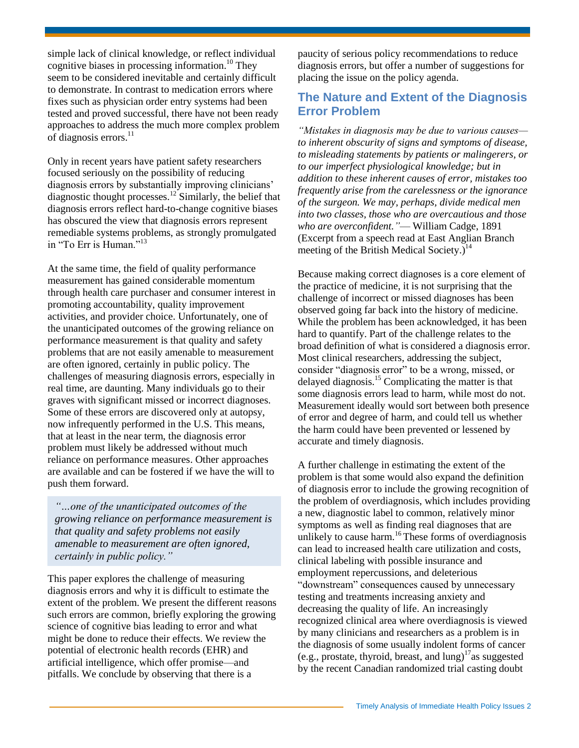simple lack of clinical knowledge, or reflect individual cognitive biases in processing information.<sup>10</sup> They seem to be considered inevitable and certainly difficult to demonstrate. In contrast to medication errors where fixes such as physician order entry systems had been tested and proved successful, there have not been ready approaches to address the much more complex problem of diagnosis errors.<sup>11</sup>

Only in recent years have patient safety researchers focused seriously on the possibility of reducing diagnosis errors by substantially improving clinicians' diagnostic thought processes.<sup>12</sup> Similarly, the belief that diagnosis errors reflect hard-to-change cognitive biases has obscured the view that diagnosis errors represent remediable systems problems, as strongly promulgated in "To Err is Human."<sup>13</sup>

At the same time, the field of quality performance measurement has gained considerable momentum through health care purchaser and consumer interest in promoting accountability, quality improvement activities, and provider choice. Unfortunately, one of the unanticipated outcomes of the growing reliance on performance measurement is that quality and safety problems that are not easily amenable to measurement are often ignored, certainly in public policy. The challenges of measuring diagnosis errors, especially in real time, are daunting. Many individuals go to their graves with significant missed or incorrect diagnoses. Some of these errors are discovered only at autopsy, now infrequently performed in the U.S. This means, that at least in the near term, the diagnosis error problem must likely be addressed without much reliance on performance measures. Other approaches are available and can be fostered if we have the will to push them forward.

*"…one of the unanticipated outcomes of the growing reliance on performance measurement is that quality and safety problems not easily amenable to measurement are often ignored, certainly in public policy."*

This paper explores the challenge of measuring diagnosis errors and why it is difficult to estimate the extent of the problem. We present the different reasons such errors are common, briefly exploring the growing science of cognitive bias leading to error and what might be done to reduce their effects. We review the potential of electronic health records (EHR) and artificial intelligence, which offer promise—and pitfalls. We conclude by observing that there is a

paucity of serious policy recommendations to reduce diagnosis errors, but offer a number of suggestions for placing the issue on the policy agenda.

# **The Nature and Extent of the Diagnosis Error Problem**

*"Mistakes in diagnosis may be due to various causes to inherent obscurity of signs and symptoms of disease, to misleading statements by patients or malingerers, or to our imperfect physiological knowledge; but in addition to these inherent causes of error, mistakes too frequently arise from the carelessness or the ignorance of the surgeon. We may, perhaps, divide medical men into two classes, those who are overcautious and those who are overconfident."*— William Cadge, 1891 (Excerpt from a speech read at East Anglian Branch meeting of the British Medical Society.)<sup>14</sup>

Because making correct diagnoses is a core element of the practice of medicine, it is not surprising that the challenge of incorrect or missed diagnoses has been observed going far back into the history of medicine. While the problem has been acknowledged, it has been hard to quantify. Part of the challenge relates to the broad definition of what is considered a diagnosis error. Most clinical researchers, addressing the subject, consider "diagnosis error" to be a wrong, missed, or delayed diagnosis.<sup>15</sup> Complicating the matter is that some diagnosis errors lead to harm, while most do not. Measurement ideally would sort between both presence of error and degree of harm, and could tell us whether the harm could have been prevented or lessened by accurate and timely diagnosis.

A further challenge in estimating the extent of the problem is that some would also expand the definition of diagnosis error to include the growing recognition of the problem of overdiagnosis, which includes providing a new, diagnostic label to common, relatively minor symptoms as well as finding real diagnoses that are unlikely to cause harm.<sup>16</sup> These forms of overdiagnosis can lead to increased health care utilization and costs, clinical labeling with possible insurance and employment repercussions, and deleterious "downstream" consequences caused by unnecessary testing and treatments increasing anxiety and decreasing the quality of life. An increasingly recognized clinical area where overdiagnosis is viewed by many clinicians and researchers as a problem is in the diagnosis of some usually indolent forms of cancer (e.g., prostate, thyroid, breast, and  $\text{lung})^{17}$  as suggested by the recent Canadian randomized trial casting doubt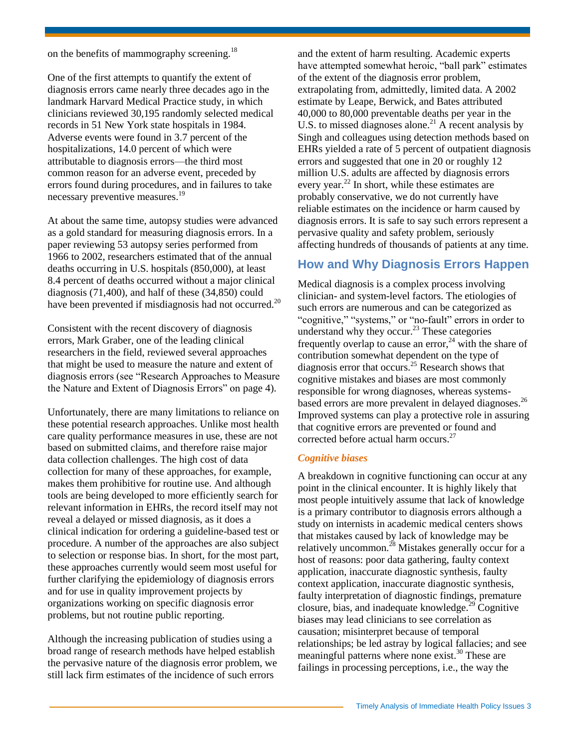on the benefits of mammography screening.<sup>18</sup>

One of the first attempts to quantify the extent of diagnosis errors came nearly three decades ago in the landmark Harvard Medical Practice study, in which clinicians reviewed 30,195 randomly selected medical records in 51 New York state hospitals in 1984. Adverse events were found in 3.7 percent of the hospitalizations, 14.0 percent of which were attributable to diagnosis errors—the third most common reason for an adverse event, preceded by errors found during procedures, and in failures to take necessary preventive measures.<sup>19</sup>

At about the same time, autopsy studies were advanced as a gold standard for measuring diagnosis errors. In a paper reviewing 53 autopsy series performed from 1966 to 2002, researchers estimated that of the annual deaths occurring in U.S. hospitals (850,000), at least 8.4 percent of deaths occurred without a major clinical diagnosis (71,400), and half of these (34,850) could have been prevented if misdiagnosis had not occurred.<sup>20</sup>

Consistent with the recent discovery of diagnosis errors, Mark Graber, one of the leading clinical researchers in the field, reviewed several approaches that might be used to measure the nature and extent of diagnosis errors (see "Research Approaches to Measure the Nature and Extent of Diagnosis Errors" on page 4).

Unfortunately, there are many limitations to reliance on these potential research approaches. Unlike most health care quality performance measures in use, these are not based on submitted claims, and therefore raise major data collection challenges. The high cost of data collection for many of these approaches, for example, makes them prohibitive for routine use. And although tools are being developed to more efficiently search for relevant information in EHRs, the record itself may not reveal a delayed or missed diagnosis, as it does a clinical indication for ordering a guideline-based test or procedure. A number of the approaches are also subject to selection or response bias. In short, for the most part, these approaches currently would seem most useful for further clarifying the epidemiology of diagnosis errors and for use in quality improvement projects by organizations working on specific diagnosis error problems, but not routine public reporting.

Although the increasing publication of studies using a broad range of research methods have helped establish the pervasive nature of the diagnosis error problem, we still lack firm estimates of the incidence of such errors

and the extent of harm resulting. Academic experts have attempted somewhat heroic, "ball park" estimates of the extent of the diagnosis error problem, extrapolating from, admittedly, limited data. A 2002 estimate by Leape, Berwick, and Bates attributed 40,000 to 80,000 preventable deaths per year in the U.S. to missed diagnoses alone.<sup>21</sup> A recent analysis by Singh and colleagues using detection methods based on EHRs yielded a rate of 5 percent of outpatient diagnosis errors and suggested that one in 20 or roughly 12 million U.S. adults are affected by diagnosis errors every year. $^{22}$  In short, while these estimates are probably conservative, we do not currently have reliable estimates on the incidence or harm caused by diagnosis errors. It is safe to say such errors represent a pervasive quality and safety problem, seriously affecting hundreds of thousands of patients at any time.

### **How and Why Diagnosis Errors Happen**

Medical diagnosis is a complex process involving clinician- and system-level factors. The etiologies of such errors are numerous and can be categorized as "cognitive," "systems," or "no-fault" errors in order to understand why they occur.<sup>23</sup> These categories frequently overlap to cause an error,<sup>24</sup> with the share of contribution somewhat dependent on the type of diagnosis error that occurs.<sup>25</sup> Research shows that cognitive mistakes and biases are most commonly responsible for wrong diagnoses, whereas systemsbased errors are more prevalent in delayed diagnoses.<sup>26</sup> Improved systems can play a protective role in assuring that cognitive errors are prevented or found and corrected before actual harm occurs.<sup>27</sup>

#### *Cognitive biases*

A breakdown in cognitive functioning can occur at any point in the clinical encounter. It is highly likely that most people intuitively assume that lack of knowledge is a primary contributor to diagnosis errors although a study on internists in academic medical centers shows that mistakes caused by lack of knowledge may be relatively uncommon.<sup>28</sup> Mistakes generally occur for a host of reasons: poor data gathering, faulty context application, inaccurate diagnostic synthesis, faulty context application, inaccurate diagnostic synthesis, faulty interpretation of diagnostic findings, premature closure, bias, and inadequate knowledge.<sup>29</sup> Cognitive biases may lead clinicians to see correlation as causation; misinterpret because of temporal relationships; be led astray by logical fallacies; and see meaningful patterns where none exist.<sup>30</sup> These are failings in processing perceptions, i.e., the way the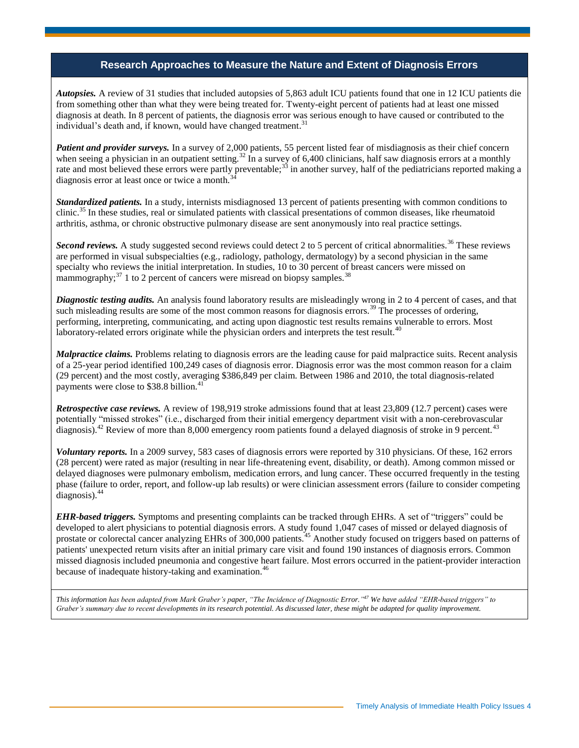### **Research Approaches to Measure the Nature and Extent of Diagnosis Errors**

*Autopsies.* A review of 31 studies that included autopsies of 5,863 adult ICU patients found that one in 12 ICU patients die from something other than what they were being treated for. Twenty-eight percent of patients had at least one missed diagnosis at death. In 8 percent of patients, the diagnosis error was serious enough to have caused or contributed to the individual's death and, if known, would have changed treatment.<sup>31</sup>

*Patient and provider surveys.* In a survey of 2,000 patients, 55 percent listed fear of misdiagnosis as their chief concern when seeing a physician in an outpatient setting.<sup>32</sup> In a survey of 6,400 clinicians, half saw diagnosis errors at a monthly rate and most believed these errors were partly preventable;<sup>33</sup> in another survey, half of the pediatricians reported making a diagnosis error at least once or twice a month.<sup>3</sup>

*Standardized patients.* In a study, internists misdiagnosed 13 percent of patients presenting with common conditions to clinic.<sup>35</sup> In these studies, real or simulated patients with classical presentations of common diseases, like rheumatoid arthritis, asthma, or chronic obstructive pulmonary disease are sent anonymously into real practice settings.

*Second reviews.* A study suggested second reviews could detect 2 to 5 percent of critical abnormalities.<sup>36</sup> These reviews are performed in visual subspecialties (e.g., radiology, pathology, dermatology) by a second physician in the same specialty who reviews the initial interpretation. In studies, 10 to 30 percent of breast cancers were missed on mammography;<sup>37</sup> 1 to 2 percent of cancers were misread on biopsy samples.<sup>38</sup>

*Diagnostic testing audits.* An analysis found laboratory results are misleadingly wrong in 2 to 4 percent of cases, and that such misleading results are some of the most common reasons for diagnosis errors.<sup>39</sup> The processes of ordering, performing, interpreting, communicating, and acting upon diagnostic test results remains vulnerable to errors. Most laboratory-related errors originate while the physician orders and interprets the test result.<sup>40</sup>

*Malpractice claims.* Problems relating to diagnosis errors are the leading cause for paid malpractice suits. Recent analysis of a 25-year period identified 100,249 cases of diagnosis error. Diagnosis error was the most common reason for a claim (29 percent) and the most costly, averaging \$386,849 per claim. Between 1986 and 2010, the total diagnosis-related payments were close to \$38.8 billion.<sup>41</sup>

*Retrospective case reviews.* A review of 198,919 stroke admissions found that at least 23,809 (12.7 percent) cases were potentially "missed strokes" (i.e., discharged from their initial emergency department visit with a non-cerebrovascular diagnosis).<sup>42</sup> Review of more than 8,000 emergency room patients found a delayed diagnosis of stroke in 9 percent.<sup>43</sup>

*Voluntary reports.* In a 2009 survey, 583 cases of diagnosis errors were reported by 310 physicians. Of these, 162 errors (28 percent) were rated as major (resulting in near life-threatening event, disability, or death). Among common missed or delayed diagnoses were pulmonary embolism, medication errors, and lung cancer. These occurred frequently in the testing phase (failure to order, report, and follow-up lab results) or were clinician assessment errors (failure to consider competing diagnosis).<sup>44</sup>

*EHR-based triggers.* Symptoms and presenting complaints can be tracked through EHRs. A set of "triggers" could be developed to alert physicians to potential diagnosis errors. A study found 1,047 cases of missed or delayed diagnosis of prostate or colorectal cancer analyzing EHRs of 300,000 patients.<sup>45</sup> Another study focused on triggers based on patterns of patients' unexpected return visits after an initial primary care visit and found 190 instances of diagnosis errors. Common missed diagnosis included pneumonia and congestive heart failure. Most errors occurred in the patient-provider interaction because of inadequate history-taking and examination.<sup>46</sup>

*This information has been adapted from Mark Graber's paper, "The Incidence of Diagnostic Error." <sup>47</sup> We have added "EHR-based triggers" to Graber's summary due to recent developments in its research potential. As discussed later, these might be adapted for quality improvement.*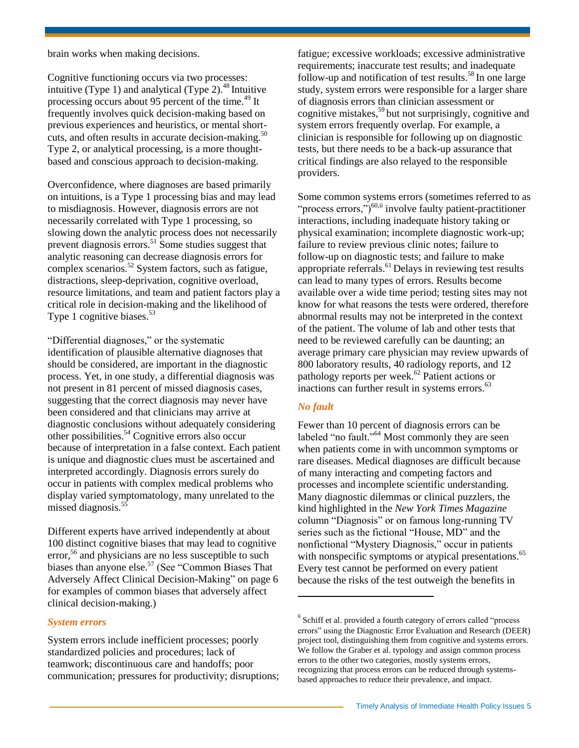brain works when making decisions.

Cognitive functioning occurs via two processes: intuitive (Type 1) and analytical (Type 2). $48$  Intuitive processing occurs about 95 percent of the time.<sup>49</sup> It frequently involves quick decision-making based on previous experiences and heuristics, or mental shortcuts, and often results in accurate decision-making. $50$ Type 2, or analytical processing, is a more thoughtbased and conscious approach to decision-making.

Overconfidence, where diagnoses are based primarily on intuitions, is a Type 1 processing bias and may lead to misdiagnosis. However, diagnosis errors are not necessarily correlated with Type 1 processing, so slowing down the analytic process does not necessarily prevent diagnosis errors.<sup>51</sup> Some studies suggest that analytic reasoning can decrease diagnosis errors for complex scenarios.<sup>52</sup> System factors, such as fatigue, distractions, sleep-deprivation, cognitive overload, resource limitations, and team and patient factors play a critical role in decision-making and the likelihood of Type 1 cognitive biases.<sup>53</sup>

"Differential diagnoses," or the systematic identification of plausible alternative diagnoses that should be considered, are important in the diagnostic process. Yet, in one study, a differential diagnosis was not present in 81 percent of missed diagnosis cases, suggesting that the correct diagnosis may never have been considered and that clinicians may arrive at diagnostic conclusions without adequately considering other possibilities.<sup>54</sup> Cognitive errors also occur because of interpretation in a false context. Each patient is unique and diagnostic clues must be ascertained and interpreted accordingly. Diagnosis errors surely do occur in patients with complex medical problems who display varied symptomatology, many unrelated to the missed diagnosis.<sup>55</sup>

Different experts have arrived independently at about 100 distinct cognitive biases that may lead to cognitive error,<sup>56</sup> and physicians are no less susceptible to such biases than anyone else.<sup>57</sup> (See "Common Biases That Adversely Affect Clinical Decision-Making" on page 6 for examples of common biases that adversely affect clinical decision-making.)

#### *System errors*

System errors include inefficient processes; poorly standardized policies and procedures; lack of teamwork; discontinuous care and handoffs; poor communication; pressures for productivity; disruptions; fatigue; excessive workloads; excessive administrative requirements; inaccurate test results; and inadequate follow-up and notification of test results.<sup>58</sup> In one large study, system errors were responsible for a larger share of diagnosis errors than clinician assessment or cognitive mistakes,<sup>59</sup> but not surprisingly, cognitive and system errors frequently overlap. For example, a clinician is responsible for following up on diagnostic tests, but there needs to be a back-up assurance that critical findings are also relayed to the responsible providers.

Some common systems errors (sometimes referred to as "process errors,")<sup>60,ii</sup> involve faulty patient-practitioner interactions, including inadequate history taking or physical examination; incomplete diagnostic work-up; failure to review previous clinic notes; failure to follow-up on diagnostic tests; and failure to make appropriate referrals.<sup>61</sup> Delays in reviewing test results can lead to many types of errors. Results become available over a wide time period; testing sites may not know for what reasons the tests were ordered, therefore abnormal results may not be interpreted in the context of the patient. The volume of lab and other tests that need to be reviewed carefully can be daunting; an average primary care physician may review upwards of 800 laboratory results, 40 radiology reports, and 12 pathology reports per week. $62$  Patient actions or inactions can further result in systems errors.<sup>63</sup>

#### *No fault*

 $\overline{\phantom{a}}$ 

Fewer than 10 percent of diagnosis errors can be labeled "no fault."<sup> $64$ </sup> Most commonly they are seen when patients come in with uncommon symptoms or rare diseases. Medical diagnoses are difficult because of many interacting and competing factors and processes and incomplete scientific understanding. Many diagnostic dilemmas or clinical puzzlers, the kind highlighted in the *New York Times Magazine* column "Diagnosis" or on famous long-running TV series such as the fictional "House, MD" and the nonfictional "Mystery Diagnosis," occur in patients with nonspecific symptoms or atypical presentations.<sup>65</sup> Every test cannot be performed on every patient because the risks of the test outweigh the benefits in

<sup>&</sup>lt;sup>ii</sup> Schiff et al. provided a fourth category of errors called "process errors" using the Diagnostic Error Evaluation and Research (DEER) project tool, distinguishing them from cognitive and systems errors. We follow the Graber et al. typology and assign common process errors to the other two categories, mostly systems errors, recognizing that process errors can be reduced through systemsbased approaches to reduce their prevalence, and impact.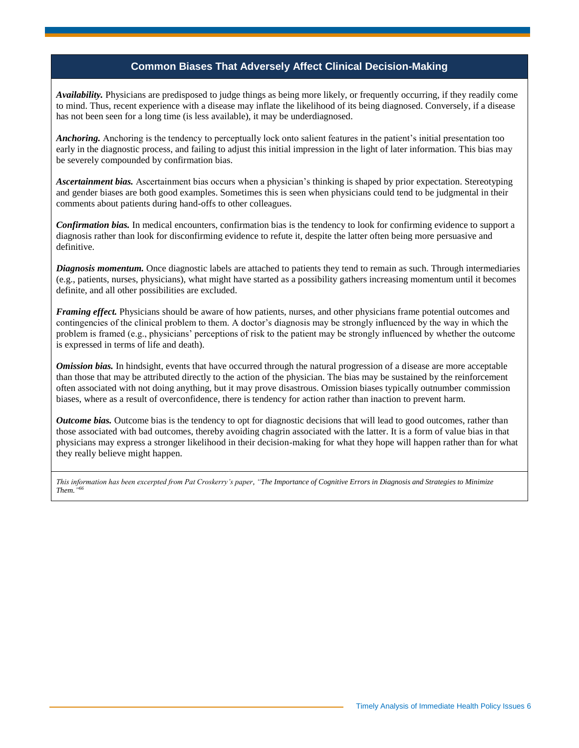### **Common Biases That Adversely Affect Clinical Decision-Making**

*Availability.* Physicians are predisposed to judge things as being more likely, or frequently occurring, if they readily come to mind. Thus, recent experience with a disease may inflate the likelihood of its being diagnosed. Conversely, if a disease has not been seen for a long time (is less available), it may be underdiagnosed.

*Anchoring.* Anchoring is the tendency to perceptually lock onto salient features in the patient's initial presentation too early in the diagnostic process, and failing to adjust this initial impression in the light of later information. This bias may be severely compounded by confirmation bias.

*Ascertainment bias.* Ascertainment bias occurs when a physician's thinking is shaped by prior expectation. Stereotyping and gender biases are both good examples. Sometimes this is seen when physicians could tend to be judgmental in their comments about patients during hand-offs to other colleagues.

*Confirmation bias.* In medical encounters, confirmation bias is the tendency to look for confirming evidence to support a diagnosis rather than look for disconfirming evidence to refute it, despite the latter often being more persuasive and definitive.

*Diagnosis momentum.* Once diagnostic labels are attached to patients they tend to remain as such. Through intermediaries (e.g., patients, nurses, physicians), what might have started as a possibility gathers increasing momentum until it becomes definite, and all other possibilities are excluded.

*Framing effect.* Physicians should be aware of how patients, nurses, and other physicians frame potential outcomes and contingencies of the clinical problem to them. A doctor's diagnosis may be strongly influenced by the way in which the problem is framed (e.g., physicians' perceptions of risk to the patient may be strongly influenced by whether the outcome is expressed in terms of life and death).

*Omission bias.* In hindsight, events that have occurred through the natural progression of a disease are more acceptable than those that may be attributed directly to the action of the physician. The bias may be sustained by the reinforcement often associated with not doing anything, but it may prove disastrous. Omission biases typically outnumber commission biases, where as a result of overconfidence, there is tendency for action rather than inaction to prevent harm.

*Outcome bias.* Outcome bias is the tendency to opt for diagnostic decisions that will lead to good outcomes, rather than those associated with bad outcomes, thereby avoiding chagrin associated with the latter. It is a form of value bias in that physicians may express a stronger likelihood in their decision-making for what they hope will happen rather than for what they really believe might happen.

*This information has been excerpted from Pat Croskerry's paper, "The Importance of Cognitive Errors in Diagnosis and Strategies to Minimize Them." 66*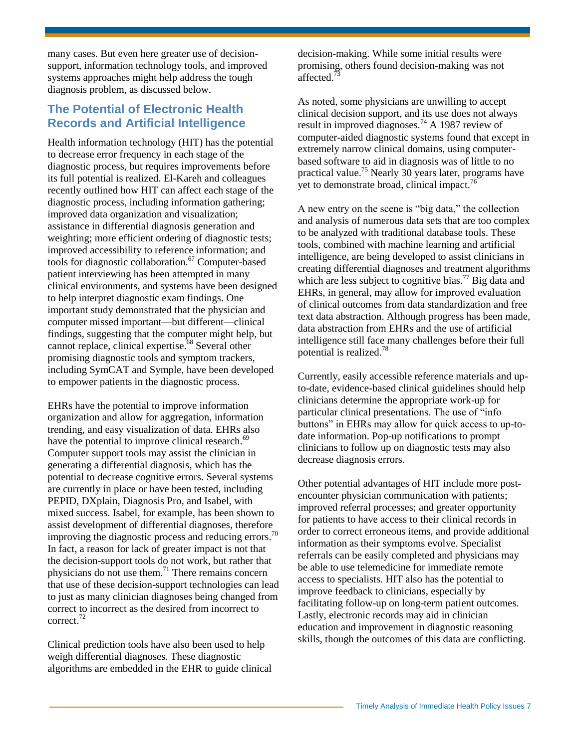many cases. But even here greater use of decisionsupport, information technology tools, and improved systems approaches might help address the tough diagnosis problem, as discussed below.

# **The Potential of Electronic Health Records and Artificial Intelligence**

Health information technology (HIT) has the potential to decrease error frequency in each stage of the diagnostic process, but requires improvements before its full potential is realized. El-Kareh and colleagues recently outlined how HIT can affect each stage of the diagnostic process, including information gathering; improved data organization and visualization; assistance in differential diagnosis generation and weighting; more efficient ordering of diagnostic tests; improved accessibility to reference information; and tools for diagnostic collaboration.<sup>67</sup> Computer-based patient interviewing has been attempted in many clinical environments, and systems have been designed to help interpret diagnostic exam findings. One important study demonstrated that the physician and computer missed important—but different—clinical findings, suggesting that the computer might help, but cannot replace, clinical expertise. $68$  Several other promising diagnostic tools and symptom trackers, including SymCAT and Symple, have been developed to empower patients in the diagnostic process.

EHRs have the potential to improve information organization and allow for aggregation, information trending, and easy visualization of data. EHRs also have the potential to improve clinical research.<sup>69</sup> Computer support tools may assist the clinician in generating a differential diagnosis, which has the potential to decrease cognitive errors. Several systems are currently in place or have been tested, including PEPID, DXplain, Diagnosis Pro, and Isabel, with mixed success. Isabel, for example, has been shown to assist development of differential diagnoses, therefore improving the diagnostic process and reducing errors.<sup>70</sup> In fact, a reason for lack of greater impact is not that the decision-support tools do not work, but rather that physicians do not use them.<sup>71</sup> There remains concern that use of these decision-support technologies can lead to just as many clinician diagnoses being changed from correct to incorrect as the desired from incorrect to correct.<sup>72</sup>

Clinical prediction tools have also been used to help weigh differential diagnoses. These diagnostic algorithms are embedded in the EHR to guide clinical decision-making. While some initial results were promising, others found decision-making was not affected.<sup>73</sup>

As noted, some physicians are unwilling to accept clinical decision support, and its use does not always result in improved diagnoses.<sup>74</sup> A 1987 review of computer-aided diagnostic systems found that except in extremely narrow clinical domains, using computerbased software to aid in diagnosis was of little to no practical value.<sup>75</sup> Nearly 30 years later, programs have yet to demonstrate broad, clinical impact. $76$ 

A new entry on the scene is "big data," the collection and analysis of numerous data sets that are too complex to be analyzed with traditional database tools. These tools, combined with machine learning and artificial intelligence, are being developed to assist clinicians in creating differential diagnoses and treatment algorithms which are less subject to cognitive bias.<sup>77</sup> Big data and EHRs, in general, may allow for improved evaluation of clinical outcomes from data standardization and free text data abstraction. Although progress has been made, data abstraction from EHRs and the use of artificial intelligence still face many challenges before their full potential is realized.<sup>78</sup>

Currently, easily accessible reference materials and upto-date, evidence-based clinical guidelines should help clinicians determine the appropriate work-up for particular clinical presentations. The use of "info buttons" in EHRs may allow for quick access to up-todate information. Pop-up notifications to prompt clinicians to follow up on diagnostic tests may also decrease diagnosis errors.

Other potential advantages of HIT include more postencounter physician communication with patients; improved referral processes; and greater opportunity for patients to have access to their clinical records in order to correct erroneous items, and provide additional information as their symptoms evolve. Specialist referrals can be easily completed and physicians may be able to use telemedicine for immediate remote access to specialists. HIT also has the potential to improve feedback to clinicians, especially by facilitating follow-up on long-term patient outcomes. Lastly, electronic records may aid in clinician education and improvement in diagnostic reasoning skills, though the outcomes of this data are conflicting.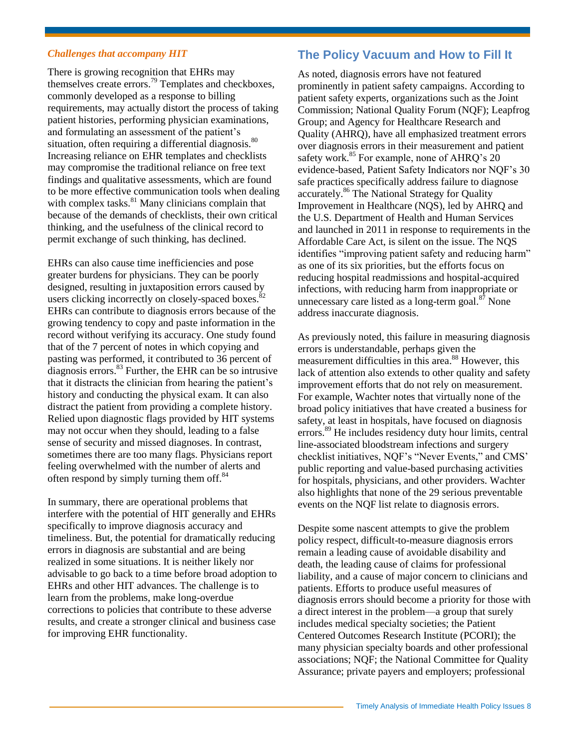#### *Challenges that accompany HIT*

There is growing recognition that EHRs may themselves create errors.<sup>79</sup> Templates and checkboxes, commonly developed as a response to billing requirements, may actually distort the process of taking patient histories, performing physician examinations, and formulating an assessment of the patient's situation, often requiring a differential diagnosis.<sup>80</sup> Increasing reliance on EHR templates and checklists may compromise the traditional reliance on free text findings and qualitative assessments, which are found to be more effective communication tools when dealing with complex tasks. $81$  Many clinicians complain that because of the demands of checklists, their own critical thinking, and the usefulness of the clinical record to permit exchange of such thinking, has declined.

EHRs can also cause time inefficiencies and pose greater burdens for physicians. They can be poorly designed, resulting in juxtaposition errors caused by users clicking incorrectly on closely-spaced boxes.<sup>8</sup> EHRs can contribute to diagnosis errors because of the growing tendency to copy and paste information in the record without verifying its accuracy. One study found that of the 7 percent of notes in which copying and pasting was performed, it contributed to 36 percent of diagnosis errors. $^{83}$  Further, the EHR can be so intrusive that it distracts the clinician from hearing the patient's history and conducting the physical exam. It can also distract the patient from providing a complete history. Relied upon diagnostic flags provided by HIT systems may not occur when they should, leading to a false sense of security and missed diagnoses. In contrast, sometimes there are too many flags. Physicians report feeling overwhelmed with the number of alerts and often respond by simply turning them off.<sup>84</sup>

In summary, there are operational problems that interfere with the potential of HIT generally and EHRs specifically to improve diagnosis accuracy and timeliness. But, the potential for dramatically reducing errors in diagnosis are substantial and are being realized in some situations. It is neither likely nor advisable to go back to a time before broad adoption to EHRs and other HIT advances. The challenge is to learn from the problems, make long-overdue corrections to policies that contribute to these adverse results, and create a stronger clinical and business case for improving EHR functionality.

# **The Policy Vacuum and How to Fill It**

As noted, diagnosis errors have not featured prominently in patient safety campaigns. According to patient safety experts, organizations such as the Joint Commission; National Quality Forum (NQF); Leapfrog Group; and Agency for Healthcare Research and Quality (AHRQ), have all emphasized treatment errors over diagnosis errors in their measurement and patient safety work.<sup>85</sup> For example, none of AHRQ's 20 evidence-based, Patient Safety Indicators nor NQF's 30 safe practices specifically address failure to diagnose accurately.<sup>86</sup> The National Strategy for Quality Improvement in Healthcare (NQS), led by AHRQ and the U.S. Department of Health and Human Services and launched in 2011 in response to requirements in the Affordable Care Act, is silent on the issue. The NQS identifies "improving patient safety and reducing harm" as one of its six priorities, but the efforts focus on reducing hospital readmissions and hospital-acquired infections, with reducing harm from inappropriate or unnecessary care listed as a long-term goal. $87$  None address inaccurate diagnosis.

As previously noted, this failure in measuring diagnosis errors is understandable, perhaps given the measurement difficulties in this area.<sup>88</sup> However, this lack of attention also extends to other quality and safety improvement efforts that do not rely on measurement. For example, Wachter notes that virtually none of the broad policy initiatives that have created a business for safety, at least in hospitals, have focused on diagnosis errors.<sup>89</sup> He includes residency duty hour limits, central line-associated bloodstream infections and surgery checklist initiatives, NQF's "Never Events," and CMS' public reporting and value-based purchasing activities for hospitals, physicians, and other providers. Wachter also highlights that none of the 29 serious preventable events on the NQF list relate to diagnosis errors.

Despite some nascent attempts to give the problem policy respect, difficult-to-measure diagnosis errors remain a leading cause of avoidable disability and death, the leading cause of claims for professional liability, and a cause of major concern to clinicians and patients. Efforts to produce useful measures of diagnosis errors should become a priority for those with a direct interest in the problem—a group that surely includes medical specialty societies; the Patient Centered Outcomes Research Institute (PCORI); the many physician specialty boards and other professional associations; NQF; the National Committee for Quality Assurance; private payers and employers; professional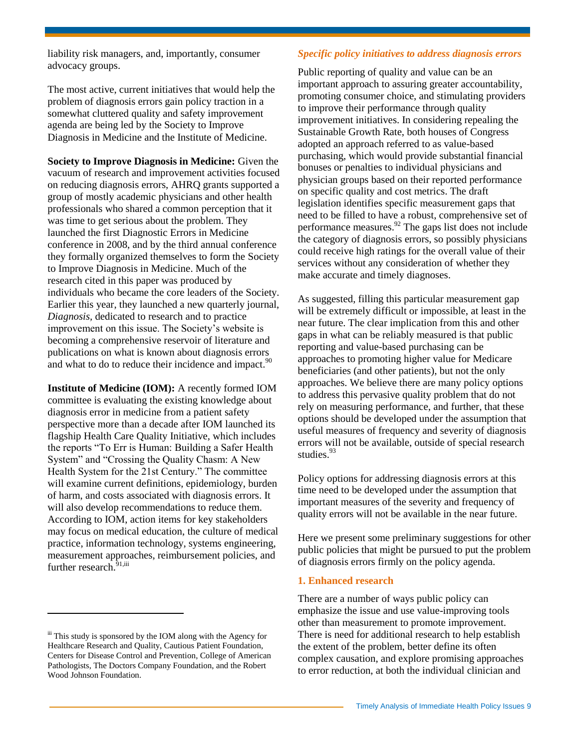liability risk managers, and, importantly, consumer advocacy groups.

The most active, current initiatives that would help the problem of diagnosis errors gain policy traction in a somewhat cluttered quality and safety improvement agenda are being led by the Society to Improve Diagnosis in Medicine and the Institute of Medicine.

**Society to Improve Diagnosis in Medicine:** Given the vacuum of research and improvement activities focused on reducing diagnosis errors, AHRQ grants supported a group of mostly academic physicians and other health professionals who shared a common perception that it was time to get serious about the problem. They launched the first Diagnostic Errors in Medicine conference in 2008, and by the third annual conference they formally organized themselves to form the Society to Improve Diagnosis in Medicine. Much of the research cited in this paper was produced by individuals who became the core leaders of the Society. Earlier this year, they launched a new quarterly journal, *Diagnosis,* dedicated to research and to practice improvement on this issue. The Society's website is becoming a comprehensive reservoir of literature and publications on what is known about diagnosis errors and what to do to reduce their incidence and impact.<sup>90</sup>

**Institute of Medicine (IOM):** A recently formed IOM committee is evaluating the existing knowledge about diagnosis error in medicine from a patient safety perspective more than a decade after IOM launched its flagship Health Care Quality Initiative, which includes the reports "To Err is Human: Building a Safer Health System" and "Crossing the Quality Chasm: A New Health System for the 21st Century." The committee will examine current definitions, epidemiology, burden of harm, and costs associated with diagnosis errors. It will also develop recommendations to reduce them. According to IOM, action items for key stakeholders may focus on medical education, the culture of medical practice, information technology, systems engineering, measurement approaches, reimbursement policies, and further research.<sup>91,iii</sup>

 $\overline{a}$ 

#### *Specific policy initiatives to address diagnosis errors*

Public reporting of quality and value can be an important approach to assuring greater accountability, promoting consumer choice, and stimulating providers to improve their performance through quality improvement initiatives. In considering repealing the Sustainable Growth Rate, both houses of Congress adopted an approach referred to as value-based purchasing, which would provide substantial financial bonuses or penalties to individual physicians and physician groups based on their reported performance on specific quality and cost metrics. The draft legislation identifies specific measurement gaps that need to be filled to have a robust, comprehensive set of performance measures. $^{92}$  The gaps list does not include the category of diagnosis errors, so possibly physicians could receive high ratings for the overall value of their services without any consideration of whether they make accurate and timely diagnoses.

As suggested, filling this particular measurement gap will be extremely difficult or impossible, at least in the near future. The clear implication from this and other gaps in what can be reliably measured is that public reporting and value-based purchasing can be approaches to promoting higher value for Medicare beneficiaries (and other patients), but not the only approaches. We believe there are many policy options to address this pervasive quality problem that do not rely on measuring performance, and further, that these options should be developed under the assumption that useful measures of frequency and severity of diagnosis errors will not be available, outside of special research studies<sup>93</sup>

Policy options for addressing diagnosis errors at this time need to be developed under the assumption that important measures of the severity and frequency of quality errors will not be available in the near future.

Here we present some preliminary suggestions for other public policies that might be pursued to put the problem of diagnosis errors firmly on the policy agenda.

#### **1. Enhanced research**

There are a number of ways public policy can emphasize the issue and use value-improving tools other than measurement to promote improvement. There is need for additional research to help establish the extent of the problem, better define its often complex causation, and explore promising approaches to error reduction, at both the individual clinician and

iii This study is sponsored by the IOM along with the Agency for Healthcare Research and Quality, Cautious Patient Foundation, Centers for Disease Control and Prevention, College of American Pathologists, The Doctors Company Foundation, and the Robert Wood Johnson Foundation.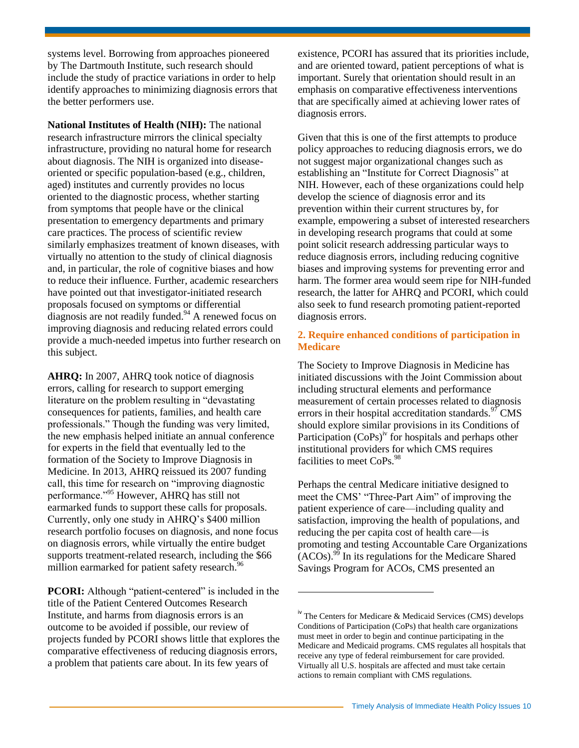systems level. Borrowing from approaches pioneered by The Dartmouth Institute, such research should include the study of practice variations in order to help identify approaches to minimizing diagnosis errors that the better performers use.

**National Institutes of Health (NIH):** The national research infrastructure mirrors the clinical specialty infrastructure, providing no natural home for research about diagnosis. The NIH is organized into diseaseoriented or specific population-based (e.g., children, aged) institutes and currently provides no locus oriented to the diagnostic process, whether starting from symptoms that people have or the clinical presentation to emergency departments and primary care practices. The process of scientific review similarly emphasizes treatment of known diseases, with virtually no attention to the study of clinical diagnosis and, in particular, the role of cognitive biases and how to reduce their influence. Further, academic researchers have pointed out that investigator-initiated research proposals focused on symptoms or differential diagnosis are not readily funded. $94$  A renewed focus on improving diagnosis and reducing related errors could provide a much-needed impetus into further research on this subject.

**AHRQ:** In 2007, AHRQ took notice of diagnosis errors, calling for research to support emerging literature on the problem resulting in "devastating consequences for patients, families, and health care professionals." Though the funding was very limited, the new emphasis helped initiate an annual conference for experts in the field that eventually led to the formation of the Society to Improve Diagnosis in Medicine. In 2013, AHRQ reissued its 2007 funding call, this time for research on "improving diagnostic performance."<sup>95</sup> However, AHRQ has still not earmarked funds to support these calls for proposals. Currently, only one study in AHRQ's \$400 million research portfolio focuses on diagnosis, and none focus on diagnosis errors, while virtually the entire budget supports treatment-related research, including the \$66 million earmarked for patient safety research.<sup>96</sup>

**PCORI:** Although "patient-centered" is included in the title of the Patient Centered Outcomes Research Institute, and harms from diagnosis errors is an outcome to be avoided if possible, our review of projects funded by PCORI shows little that explores the comparative effectiveness of reducing diagnosis errors, a problem that patients care about. In its few years of

existence, PCORI has assured that its priorities include, and are oriented toward, patient perceptions of what is important. Surely that orientation should result in an emphasis on comparative effectiveness interventions that are specifically aimed at achieving lower rates of diagnosis errors.

Given that this is one of the first attempts to produce policy approaches to reducing diagnosis errors, we do not suggest major organizational changes such as establishing an "Institute for Correct Diagnosis" at NIH. However, each of these organizations could help develop the science of diagnosis error and its prevention within their current structures by, for example, empowering a subset of interested researchers in developing research programs that could at some point solicit research addressing particular ways to reduce diagnosis errors, including reducing cognitive biases and improving systems for preventing error and harm. The former area would seem ripe for NIH-funded research, the latter for AHRQ and PCORI, which could also seek to fund research promoting patient-reported diagnosis errors.

### **2. Require enhanced conditions of participation in Medicare**

The Society to Improve Diagnosis in Medicine has initiated discussions with the Joint Commission about including structural elements and performance measurement of certain processes related to diagnosis errors in their hospital accreditation standards. $97$  CMS should explore similar provisions in its Conditions of Participation  $(CoPs)^{iv}$  for hospitals and perhaps other institutional providers for which CMS requires facilities to meet CoPs.<sup>98</sup>

Perhaps the central Medicare initiative designed to meet the CMS' "Three-Part Aim" of improving the patient experience of care—including quality and satisfaction, improving the health of populations, and reducing the per capita cost of health care—is promoting and testing Accountable Care Organizations (ACOs).<sup>99</sup> In its regulations for the Medicare Shared Savings Program for ACOs, CMS presented an

l

<sup>&</sup>lt;sup>iv</sup> The Centers for Medicare & Medicaid Services (CMS) develops Conditions of Participation (CoPs) that health care organizations must meet in order to begin and continue participating in the Medicare and Medicaid programs. CMS regulates all hospitals that receive any type of federal reimbursement for care provided. Virtually all U.S. hospitals are affected and must take certain actions to remain compliant with CMS regulations.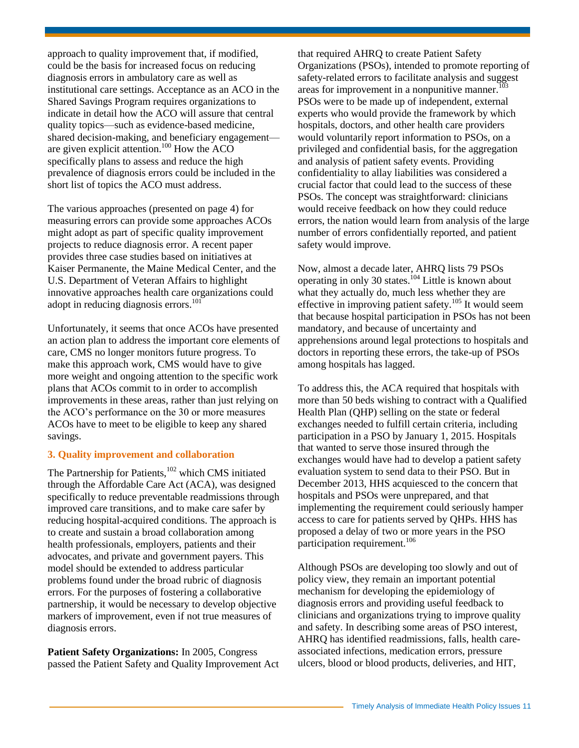approach to quality improvement that, if modified, could be the basis for increased focus on reducing diagnosis errors in ambulatory care as well as institutional care settings. Acceptance as an ACO in the Shared Savings Program requires organizations to indicate in detail how the ACO will assure that central quality topics—such as evidence-based medicine, shared decision-making, and beneficiary engagement are given explicit attention.<sup>100</sup> How the ACO specifically plans to assess and reduce the high prevalence of diagnosis errors could be included in the short list of topics the ACO must address.

The various approaches (presented on page 4) for measuring errors can provide some approaches ACOs might adopt as part of specific quality improvement projects to reduce diagnosis error. A recent paper provides three case studies based on initiatives at Kaiser Permanente, the Maine Medical Center, and the U.S. Department of Veteran Affairs to highlight innovative approaches health care organizations could adopt in reducing diagnosis errors.<sup>101</sup>

Unfortunately, it seems that once ACOs have presented an action plan to address the important core elements of care, CMS no longer monitors future progress. To make this approach work, CMS would have to give more weight and ongoing attention to the specific work plans that ACOs commit to in order to accomplish improvements in these areas, rather than just relying on the ACO's performance on the 30 or more measures ACOs have to meet to be eligible to keep any shared savings.

### **3. Quality improvement and collaboration**

The Partnership for Patients, $102$  which CMS initiated through the Affordable Care Act (ACA), was designed specifically to reduce preventable readmissions through improved care transitions, and to make care safer by reducing hospital-acquired conditions. The approach is to create and sustain a broad collaboration among health professionals, employers, patients and their advocates, and private and government payers. This model should be extended to address particular problems found under the broad rubric of diagnosis errors. For the purposes of fostering a collaborative partnership, it would be necessary to develop objective markers of improvement, even if not true measures of diagnosis errors.

**Patient Safety Organizations:** In 2005, Congress passed the Patient Safety and Quality Improvement Act that required AHRQ to create Patient Safety Organizations (PSOs), intended to promote reporting of safety-related errors to facilitate analysis and suggest areas for improvement in a nonpunitive manner. $103$ PSOs were to be made up of independent, external experts who would provide the framework by which hospitals, doctors, and other health care providers would voluntarily report information to PSOs, on a privileged and confidential basis, for the aggregation and analysis of patient safety events. Providing confidentiality to allay liabilities was considered a crucial factor that could lead to the success of these PSOs. The concept was straightforward: clinicians would receive feedback on how they could reduce errors, the nation would learn from analysis of the large number of errors confidentially reported, and patient safety would improve.

Now, almost a decade later, AHRQ lists 79 PSOs operating in only 30 states.<sup>104</sup> Little is known about what they actually do, much less whether they are effective in improving patient safety.<sup>105</sup> It would seem that because hospital participation in PSOs has not been mandatory, and because of uncertainty and apprehensions around legal protections to hospitals and doctors in reporting these errors, the take-up of PSOs among hospitals has lagged.

To address this, the ACA required that hospitals with more than 50 beds wishing to contract with a Qualified Health Plan (QHP) selling on the state or federal exchanges needed to fulfill certain criteria, including participation in a PSO by January 1, 2015. Hospitals that wanted to serve those insured through the exchanges would have had to develop a patient safety evaluation system to send data to their PSO. But in December 2013, HHS acquiesced to the concern that hospitals and PSOs were unprepared, and that implementing the requirement could seriously hamper access to care for patients served by QHPs. HHS has proposed a delay of two or more years in the PSO participation requirement.<sup>106</sup>

Although PSOs are developing too slowly and out of policy view, they remain an important potential mechanism for developing the epidemiology of diagnosis errors and providing useful feedback to clinicians and organizations trying to improve quality and safety. In describing some areas of PSO interest, AHRQ has identified readmissions, falls, health careassociated infections, medication errors, pressure ulcers, blood or blood products, deliveries, and HIT,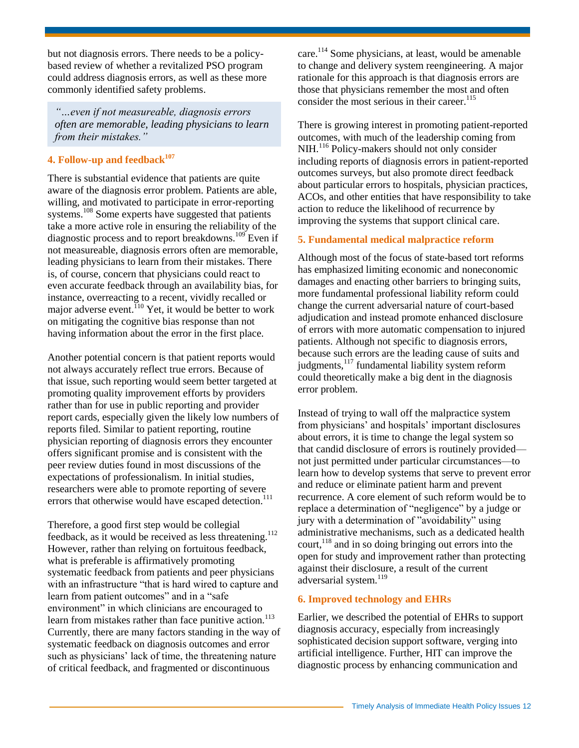but not diagnosis errors. There needs to be a policybased review of whether a revitalized PSO program could address diagnosis errors, as well as these more commonly identified safety problems.

*"…even if not measureable, diagnosis errors often are memorable, leading physicians to learn from their mistakes."*

### **4. Follow-up and feedback<sup>107</sup>**

There is substantial evidence that patients are quite aware of the diagnosis error problem. Patients are able, willing, and motivated to participate in error-reporting systems.<sup>108</sup> Some experts have suggested that patients take a more active role in ensuring the reliability of the diagnostic process and to report breakdowns.<sup>109</sup> Even if not measureable, diagnosis errors often are memorable, leading physicians to learn from their mistakes. There is, of course, concern that physicians could react to even accurate feedback through an availability bias, for instance, overreacting to a recent, vividly recalled or major adverse event.<sup>110</sup> Yet, it would be better to work on mitigating the cognitive bias response than not having information about the error in the first place.

Another potential concern is that patient reports would not always accurately reflect true errors. Because of that issue, such reporting would seem better targeted at promoting quality improvement efforts by providers rather than for use in public reporting and provider report cards, especially given the likely low numbers of reports filed. Similar to patient reporting, routine physician reporting of diagnosis errors they encounter offers significant promise and is consistent with the peer review duties found in most discussions of the expectations of professionalism. In initial studies, researchers were able to promote reporting of severe errors that otherwise would have escaped detection.<sup>111</sup>

Therefore, a good first step would be collegial feedback, as it would be received as less threatening.<sup>112</sup> However, rather than relying on fortuitous feedback, what is preferable is affirmatively promoting systematic feedback from patients and peer physicians with an infrastructure "that is hard wired to capture and learn from patient outcomes" and in a "safe environment" in which clinicians are encouraged to learn from mistakes rather than face punitive action.<sup>113</sup> Currently, there are many factors standing in the way of systematic feedback on diagnosis outcomes and error such as physicians' lack of time, the threatening nature of critical feedback, and fragmented or discontinuous

care.<sup>114</sup> Some physicians, at least, would be amenable to change and delivery system reengineering. A major rationale for this approach is that diagnosis errors are those that physicians remember the most and often consider the most serious in their career.<sup>115</sup>

There is growing interest in promoting patient-reported outcomes, with much of the leadership coming from NIH.<sup>116</sup> Policy-makers should not only consider including reports of diagnosis errors in patient-reported outcomes surveys, but also promote direct feedback about particular errors to hospitals, physician practices, ACOs, and other entities that have responsibility to take action to reduce the likelihood of recurrence by improving the systems that support clinical care.

### **5. Fundamental medical malpractice reform**

Although most of the focus of state-based tort reforms has emphasized limiting economic and noneconomic damages and enacting other barriers to bringing suits, more fundamental professional liability reform could change the current adversarial nature of court-based adjudication and instead promote enhanced disclosure of errors with more automatic compensation to injured patients. Although not specific to diagnosis errors, because such errors are the leading cause of suits and judgments,<sup>117</sup> fundamental liability system reform could theoretically make a big dent in the diagnosis error problem.

Instead of trying to wall off the malpractice system from physicians' and hospitals' important disclosures about errors, it is time to change the legal system so that candid disclosure of errors is routinely provided not just permitted under particular circumstances—to learn how to develop systems that serve to prevent error and reduce or eliminate patient harm and prevent recurrence. A core element of such reform would be to replace a determination of "negligence" by a judge or jury with a determination of "avoidability" using administrative mechanisms, such as a dedicated health court, $118$  and in so doing bringing out errors into the open for study and improvement rather than protecting against their disclosure, a result of the current adversarial system.<sup>119</sup>

### **6. Improved technology and EHRs**

Earlier, we described the potential of EHRs to support diagnosis accuracy, especially from increasingly sophisticated decision support software, verging into artificial intelligence. Further, HIT can improve the diagnostic process by enhancing communication and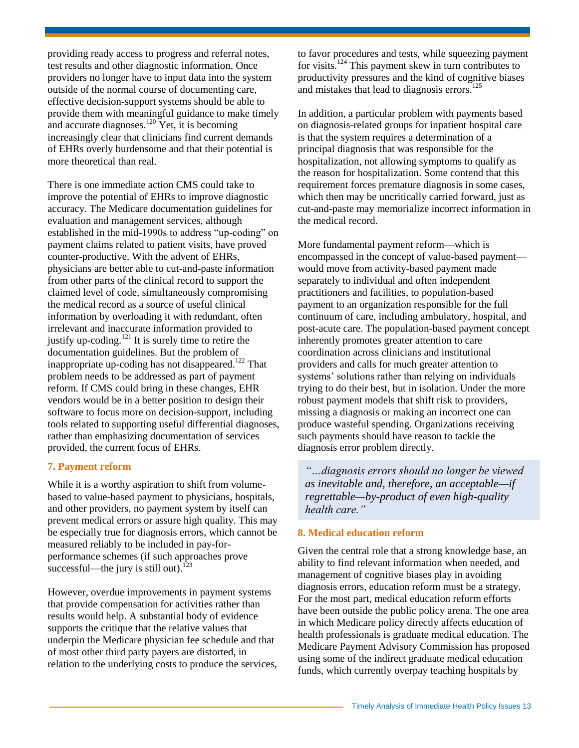providing ready access to progress and referral notes, test results and other diagnostic information. Once providers no longer have to input data into the system outside of the normal course of documenting care, effective decision-support systems should be able to provide them with meaningful guidance to make timely and accurate diagnoses.<sup>120</sup> Yet, it is becoming increasingly clear that clinicians find current demands of EHRs overly burdensome and that their potential is more theoretical than real.

There is one immediate action CMS could take to improve the potential of EHRs to improve diagnostic accuracy. The Medicare documentation guidelines for evaluation and management services, although established in the mid-1990s to address "up-coding" on payment claims related to patient visits, have proved counter-productive. With the advent of EHRs, physicians are better able to cut-and-paste information from other parts of the clinical record to support the claimed level of code, simultaneously compromising the medical record as a source of useful clinical information by overloading it with redundant, often irrelevant and inaccurate information provided to justify up-coding.<sup>121</sup> It is surely time to retire the documentation guidelines. But the problem of inappropriate up-coding has not disappeared.<sup>122</sup> That problem needs to be addressed as part of payment reform. If CMS could bring in these changes, EHR vendors would be in a better position to design their software to focus more on decision-support, including tools related to supporting useful differential diagnoses, rather than emphasizing documentation of services provided, the current focus of EHRs.

### **7. Payment reform**

While it is a worthy aspiration to shift from volumebased to value-based payment to physicians, hospitals, and other providers, no payment system by itself can prevent medical errors or assure high quality. This may be especially true for diagnosis errors, which cannot be measured reliably to be included in pay-forperformance schemes (if such approaches prove successful—the jury is still out).<sup>123</sup>

However, overdue improvements in payment systems that provide compensation for activities rather than results would help. A substantial body of evidence supports the critique that the relative values that underpin the Medicare physician fee schedule and that of most other third party payers are distorted, in relation to the underlying costs to produce the services,

to favor procedures and tests, while squeezing payment for visits.<sup>124</sup> This payment skew in turn contributes to productivity pressures and the kind of cognitive biases and mistakes that lead to diagnosis errors.<sup>125</sup>

In addition, a particular problem with payments based on diagnosis-related groups for inpatient hospital care is that the system requires a determination of a principal diagnosis that was responsible for the hospitalization, not allowing symptoms to qualify as the reason for hospitalization. Some contend that this requirement forces premature diagnosis in some cases, which then may be uncritically carried forward, just as cut-and-paste may memorialize incorrect information in the medical record.

More fundamental payment reform—which is encompassed in the concept of value-based payment would move from activity-based payment made separately to individual and often independent practitioners and facilities, to population-based payment to an organization responsible for the full continuum of care, including ambulatory, hospital, and post-acute care. The population-based payment concept inherently promotes greater attention to care coordination across clinicians and institutional providers and calls for much greater attention to systems' solutions rather than relying on individuals trying to do their best, but in isolation. Under the more robust payment models that shift risk to providers, missing a diagnosis or making an incorrect one can produce wasteful spending. Organizations receiving such payments should have reason to tackle the diagnosis error problem directly.

*"…diagnosis errors should no longer be viewed as inevitable and, therefore, an acceptable—if regrettable—by-product of even high-quality health care."*

### **8. Medical education reform**

Given the central role that a strong knowledge base, an ability to find relevant information when needed, and management of cognitive biases play in avoiding diagnosis errors, education reform must be a strategy. For the most part, medical education reform efforts have been outside the public policy arena. The one area in which Medicare policy directly affects education of health professionals is graduate medical education. The Medicare Payment Advisory Commission has proposed using some of the indirect graduate medical education funds, which currently overpay teaching hospitals by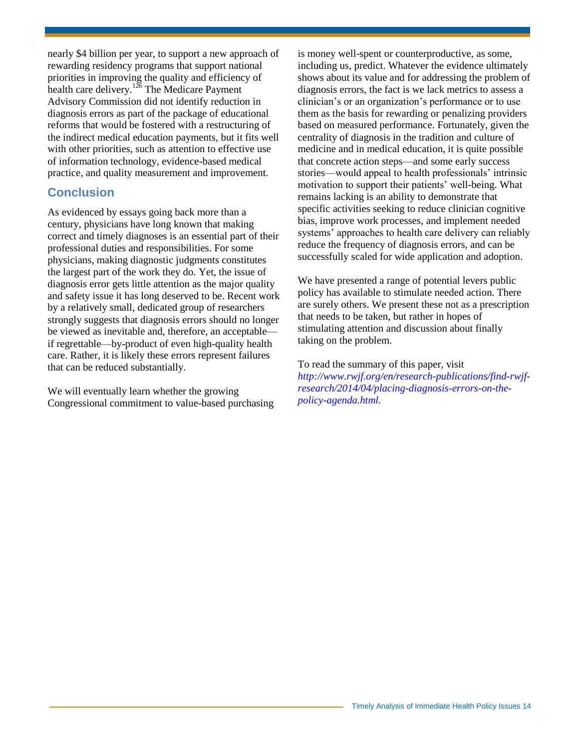nearly \$4 billion per year, to support a new approach of rewarding residency programs that support national priorities in improving the quality and efficiency of health care delivery.<sup>126</sup> The Medicare Payment Advisory Commission did not identify reduction in diagnosis errors as part of the package of educational reforms that would be fostered with a restructuring of the indirect medical education payments, but it fits well with other priorities, such as attention to effective use of information technology, evidence-based medical practice, and quality measurement and improvement.

# **Conclusion**

As evidenced by essays going back more than a century, physicians have long known that making correct and timely diagnoses is an essential part of their professional duties and responsibilities. For some physicians, making diagnostic judgments constitutes the largest part of the work they do. Yet, the issue of diagnosis error gets little attention as the major quality and safety issue it has long deserved to be. Recent work by a relatively small, dedicated group of researchers strongly suggests that diagnosis errors should no longer be viewed as inevitable and, therefore, an acceptable if regrettable—by-product of even high-quality health care. Rather, it is likely these errors represent failures that can be reduced substantially.

We will eventually learn whether the growing Congressional commitment to value-based purchasing is money well-spent or counterproductive, as some, including us, predict. Whatever the evidence ultimately shows about its value and for addressing the problem of diagnosis errors, the fact is we lack metrics to assess a clinician's or an organization's performance or to use them as the basis for rewarding or penalizing providers based on measured performance. Fortunately, given the centrality of diagnosis in the tradition and culture of medicine and in medical education, it is quite possible that concrete action steps—and some early success stories—would appeal to health professionals' intrinsic motivation to support their patients' well-being. What remains lacking is an ability to demonstrate that specific activities seeking to reduce clinician cognitive bias, improve work processes, and implement needed systems' approaches to health care delivery can reliably reduce the frequency of diagnosis errors, and can be successfully scaled for wide application and adoption.

We have presented a range of potential levers public policy has available to stimulate needed action. There are surely others. We present these not as a prescription that needs to be taken, but rather in hopes of stimulating attention and discussion about finally taking on the problem.

To read the summary of this paper, visit *[http://www.rwjf.org/en/research-publications/find-rwjf](http://www.rwjf.org/en/research-publications/find-rwjf-research/2014/04/placing-diagnosis-errors-on-the-policy-agenda.html)[research/2014/04/placing-diagnosis-errors-on-the](http://www.rwjf.org/en/research-publications/find-rwjf-research/2014/04/placing-diagnosis-errors-on-the-policy-agenda.html)[policy-agenda.html.](http://www.rwjf.org/en/research-publications/find-rwjf-research/2014/04/placing-diagnosis-errors-on-the-policy-agenda.html)*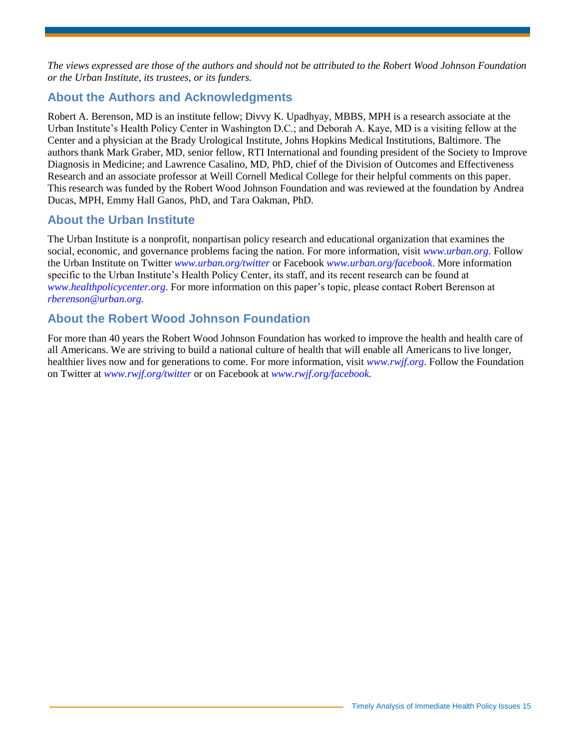*The views expressed are those of the authors and should not be attributed to the Robert Wood Johnson Foundation or the Urban Institute, its trustees, or its funders.* 

# **About the Authors and Acknowledgments**

Robert A. Berenson, MD is an institute fellow; Divvy K. Upadhyay, MBBS, MPH is a research associate at the Urban Institute's Health Policy Center in Washington D.C.; and Deborah A. Kaye, MD is a visiting fellow at the Center and a physician at the Brady Urological Institute, Johns Hopkins Medical Institutions, Baltimore. The authors thank Mark Graber, MD, senior fellow, RTI International and founding president of the Society to Improve Diagnosis in Medicine; and Lawrence Casalino, MD, PhD, chief of the Division of Outcomes and Effectiveness Research and an associate professor at Weill Cornell Medical College for their helpful comments on this paper. This research was funded by the Robert Wood Johnson Foundation and was reviewed at the foundation by Andrea Ducas, MPH, Emmy Hall Ganos, PhD, and Tara Oakman, PhD.

# **About the Urban Institute**

The Urban Institute is a nonprofit, nonpartisan policy research and educational organization that examines the social, economic, and governance problems facing the nation. For more information, visit *[www.urban.org](http://www.urban.org/)*. Follow the Urban Institute on Twitter *[www.urban.org/twitter](https://twitter.com/urbaninstitute)* or Facebook *[www.urban.org/facebook](https://www.facebook.com/urbaninstitute)*. More information specific to the Urban Institute's Health Policy Center, its staff, and its recent research can be found at *[www.healthpolicycenter.org](http://www.urban.org/health_policy/)*. For more information on this paper's topic, please contact Robert Berenson at *[rberenson@urban.org.](mailto:rberenson@urban.org)*

# **About the Robert Wood Johnson Foundation**

For more than 40 years the Robert Wood Johnson Foundation has worked to improve the health and health care of all Americans. We are striving to build a national culture of health that will enable all Americans to live longer, healthier lives now and for generations to come. For more information, visit *[www.rwjf.org](http://www.rwjf.org/)*. Follow the Foundation on Twitter at *[www.rwjf.org/twitter](https://twitter.com/rwjf)* or on Facebook at *[www.rwjf.org/facebook.](https://www.facebook.com/RobertWoodJohnsonFoundation)*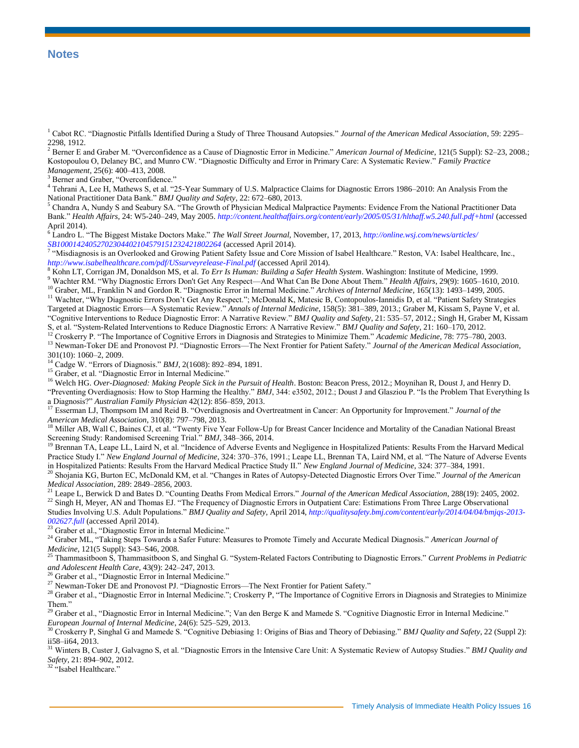#### **Notes**

<sup>1</sup> Cabot RC. "Diagnostic Pitfalls Identified During a Study of Three Thousand Autopsies." *Journal of the American Medical Association*, 59: 2295– 2298, 1912.

<sup>2</sup> Berner E and Graber M. "Overconfidence as a Cause of Diagnostic Error in Medicine." *American Journal of Medicine*, 121(5 Suppl): S2–23, 2008.; Kostopoulou O, Delaney BC, and Munro CW. "Diagnostic Difficulty and Error in Primary Care: A Systematic Review." *Family Practice Management*, 25(6): 400–413, 2008.

<sup>3</sup> Berner and Graber, "Overconfidence."

4 Tehrani A, Lee H, Mathews S, et al. "25-Year Summary of U.S. Malpractice Claims for Diagnostic Errors 1986–2010: An Analysis From the National Practitioner Data Bank." *BMJ Quality and Safety*, 22: 672–680, 2013.

<sup>5</sup> Chandra A, Nundy S and Seabury SA. "The Growth of Physician Medical Malpractice Payments: Evidence From the National Practitioner Data Bank." *Health Affairs,* 24: W5-240–249, May 2005. *<http://content.healthaffairs.org/content/early/2005/05/31/hlthaff.w5.240.full.pdf+html>* (accessed April 2014). 6 Landro L. "The Biggest Mistake Doctors Make." *The Wall Street Journal,* November, 17, 2013, *[http://online.wsj.com/news/articles/](http://online.wsj.com/news/articles/SB10001424052702304402104579151232421802264)*

*[SB10001424052702304402104579151232421802264](http://online.wsj.com/news/articles/SB10001424052702304402104579151232421802264)* (accessed April 2014). 7 "Misdiagnosis is an Overlooked and Growing Patient Safety Issue and Core Mission of Isabel Healthcare." Reston, VA: Isabel Healthcare, Inc., *<http://www.isabelhealthcare.com/pdf/USsurveyrelease-Final.pdf>* (accessed April 2014).

<sup>8</sup> Kohn LT, Corrigan JM, Donaldson MS, et al. *To Err Is Human: Building a Safer Health System*. Washington: Institute of Medicine, 1999.

<sup>9</sup> Wachter RM. "Why Diagnostic Errors Don't Get Any Respect—And What Can Be Done About Them." *Health Affairs*, 29(9): 1605–1610, 2010. <sup>10</sup> Graber, ML, Franklin N and Gordon R. "Diagnostic Error in Internal Medicine." *Archives of Internal Medicine*, 165(13): 1493–1499, 2005.

<sup>11</sup> Wachter, "Why Diagnostic Errors Don't Get Any Respect."; McDonald K, Matesic B, Contopoulos-Iannidis D, et al. "Patient Safety Strategies

Targeted at Diagnostic Errors—A Systematic Review." *Annals of Internal Medicine*, 158(5): 381–389, 2013.; Graber M, Kissam S, Payne V, et al. "Cognitive Interventions to Reduce Diagnostic Error: A Narrative Review." *BMJ Quality and Safety*, 21: 535–57, 2012.; Singh H, Graber M, Kissam S, et al. "System-Related Interventions to Reduce Diagnostic Errors: A Narrative Review." *BMJ Quality and Safety*, 21: 160–170, 2012.

<sup>12</sup> Croskerry P. "The Importance of Cognitive Errors in Diagnosis and Strategies to Minimize Them." *Academic Medicine*, 78: 775–780, 2003.

<sup>13</sup> Newman-Toker DE and Pronovost PJ. "Diagnostic Errors—The Next Frontier for Patient Safety." *Journal of the American Medical Association,*  301(10): 1060–2, 2009.

<sup>14</sup> Cadge W. "Errors of Diagnosis." *BMJ*, 2(1608): 892–894, 1891.

<sup>15</sup> Graber, et al. "Diagnostic Error in Internal Medicine."

<sup>16</sup> Welch HG. *Over-Diagnosed: Making People Sick in the Pursuit of Health*. Boston: Beacon Press, 2012.; Moynihan R, Doust J, and Henry D.

"Preventing Overdiagnosis: How to Stop Harming the Healthy." *BMJ*, 344: e3502, 2012.; Doust J and Glasziou P. "Is the Problem That Everything Is a Diagnosis?" *Australian Family Physician* 42(12): 856–859, 2013.

<sup>17</sup> Esserman LJ, Thompsom IM and Reid B. "Overdiagnosis and Overtreatment in Cancer: An Opportunity for Improvement." *Journal of the American Medical Association*, 310(8): 797–798, 2013.

<sup>18</sup> Miller AB, Wall C, Baines CJ, et al. "Twenty Five Year Follow-Up for Breast Cancer Incidence and Mortality of the Canadian National Breast Screening Study: Randomised Screening Trial." *BMJ*, 348–366, 2014.

<sup>19</sup> Brennan TA, Leape LL, Laird N, et al. "Incidence of Adverse Events and Negligence in Hospitalized Patients: Results From the Harvard Medical Practice Study I." *New England Journal of Medicine*, 324: 370–376, 1991.; Leape LL, Brennan TA, Laird NM, et al. "The Nature of Adverse Events in Hospitalized Patients: Results From the Harvard Medical Practice Study II." *New England Journal of Medicine*, 324: 377–384, 1991.

<sup>20</sup> Shojania KG, Burton EC, McDonald KM, et al. "Changes in Rates of Autopsy-Detected Diagnostic Errors Over Time." *Journal of the American Medical Association*, 289: 2849–2856, 2003.

<sup>21</sup> Leape L, Berwick D and Bates D. "Counting Deaths From Medical Errors." *Journal of the American Medical Association*, 288(19): 2405, 2002. <sup>22</sup> Singh H, Meyer, AN and Thomas EJ. "The Frequency of Diagnostic Errors in Outpatient Care: Estimations From Three Large Observational Studies Involving U.S. Adult Populations." *BMJ Quality and Safety,* April 2014, *[http://qualitysafety.bmj.com/content/early/2014/04/04/bmjqs-2013-](http://qualitysafety.bmj.com/content/early/2014/04/04/bmjqs-2013-002627.full) [002627.full](http://qualitysafety.bmj.com/content/early/2014/04/04/bmjqs-2013-002627.full)* (accessed April 2014).

<sup>23</sup> Graber et al., "Diagnostic Error in Internal Medicine."

<sup>24</sup> Graber ML, "Taking Steps Towards a Safer Future: Measures to Promote Timely and Accurate Medical Diagnosis." *American Journal of Medicine*, 121(5 Suppl): S43–S46, 2008.

<sup>25</sup> Thammasitboon S, Thammasitboon S, and Singhal G. "System-Related Factors Contributing to Diagnostic Errors." *Current Problems in Pediatric and Adolescent Health Care,* 43(9): 242–247, 2013.

<sup>26</sup> Graber et al., "Diagnostic Error in Internal Medicine."

<sup>27</sup> Newman-Toker DE and Pronovost PJ. "Diagnostic Errors—The Next Frontier for Patient Safety."

<sup>28</sup> Graber et al., "Diagnostic Error in Internal Medicine."; Croskerry P, "The Importance of Cognitive Errors in Diagnosis and Strategies to Minimize Them."

<sup>29</sup> Graber et al., "Diagnostic Error in Internal Medicine."; Van den Berge K and Mamede S. "Cognitive Diagnostic Error in Internal Medicine." *European Journal of Internal Medicine*, 24(6): 525–529, 2013.

<sup>30</sup> Croskerry P, Singhal G and Mamede S. "Cognitive Debiasing 1: Origins of Bias and Theory of Debiasing." *BMJ Quality and Safety*, 22 (Suppl 2): ii58–ii64, 2013.

<sup>31</sup> Winters B, Custer J, Galvagno S, et al. "Diagnostic Errors in the Intensive Care Unit: A Systematic Review of Autopsy Studies." *BMJ Quality and Safety*, 21: 894–902, 2012.

"Isabel Healthcare."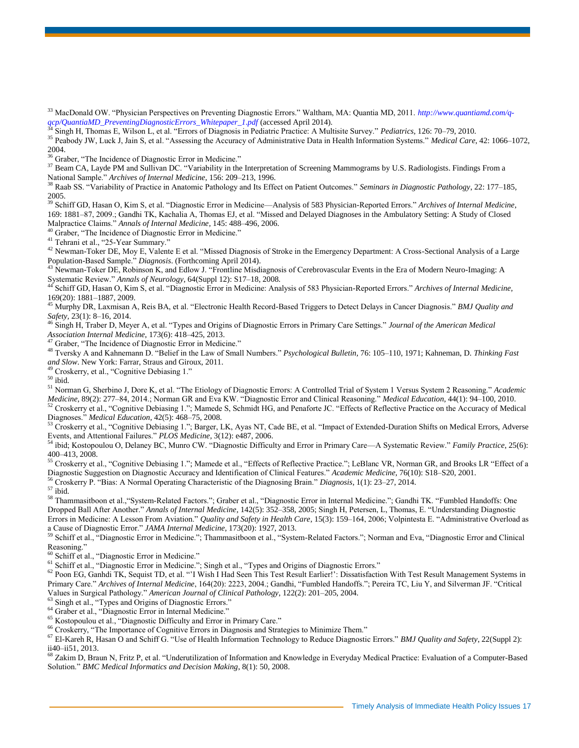<sup>33</sup> MacDonald OW. "Physician Perspectives on Preventing Diagnostic Errors." Waltham, MA: Quantia MD, 2011. *[http://www.quantiamd.com/q](http://www.quantiamd.com/q-qcp/QuantiaMD_PreventingDiagnosticErrors_Whitepaper_1.pdf)[qcp/QuantiaMD\\_PreventingDiagnosticErrors\\_Whitepaper\\_1.pdf](http://www.quantiamd.com/q-qcp/QuantiaMD_PreventingDiagnosticErrors_Whitepaper_1.pdf)* (accessed April 2014).

<sup>34</sup> Singh H, Thomas E, Wilson L, et al. "Errors of Diagnosis in Pediatric Practice: A Multisite Survey." *Pediatrics*, 126: 70–79, 2010.

<sup>35</sup> Peabody JW, Luck J, Jain S, et al. "Assessing the Accuracy of Administrative Data in Health Information Systems." *Medical Care*, 42: 1066–1072, 2004.

<sup>36</sup> Graber, "The Incidence of Diagnostic Error in Medicine."

<sup>37</sup> Beam CA, Layde PM and Sullivan DC. "Variability in the Interpretation of Screening Mammograms by U.S. Radiologists. Findings From a National Sample." *Archives of Internal Medicine*, 156: 209–213, 1996.

<sup>38</sup> Raab SS. "Variability of Practice in Anatomic Pathology and Its Effect on Patient Outcomes." *Seminars in Diagnostic Pathology*, 22: 177–185, 2005.

<sup>39</sup> Schiff GD, Hasan O, Kim S, et al. "Diagnostic Error in Medicine—Analysis of 583 Physician-Reported Errors." *Archives of Internal Medicine*, 169: 1881–87, 2009.; Gandhi TK, Kachalia A, Thomas EJ, et al. "Missed and Delayed Diagnoses in the Ambulatory Setting: A Study of Closed Malpractice Claims." *Annals of Internal Medicine*, 145: 488–496, 2006.

<sup>40</sup> Graber, "The Incidence of Diagnostic Error in Medicine."

<sup>41</sup> Tehrani et al., "25-Year Summary."

<sup>42</sup> Newman-Toker DE, Moy E, Valente E et al. "Missed Diagnosis of Stroke in the Emergency Department: A Cross-Sectional Analysis of a Large Population-Based Sample." *Diagnosis*. (Forthcoming April 2014).

<sup>43</sup> Newman-Toker DE, Robinson K, and Edlow J. "Frontline Misdiagnosis of Cerebrovascular Events in the Era of Modern Neuro-Imaging: A Systematic Review." *Annals of Neurology*, 64(Suppl 12): S17–18, 2008.

<sup>44</sup> Schiff GD, Hasan O, Kim S, et al. "Diagnostic Error in Medicine: Analysis of 583 Physician-Reported Errors." *Archives of Internal Medicine*, 169(20): 1881–1887, 2009.

<sup>45</sup> Murphy DR, Laxmisan A, Reis BA, et al. "Electronic Health Record-Based Triggers to Detect Delays in Cancer Diagnosis." *BMJ Quality and Safety,* 23(1): 8–16, 2014.

<sup>46</sup> Singh H, Traber D, Meyer A, et al. "Types and Origins of Diagnostic Errors in Primary Care Settings." *Journal of the American Medical Association Internal Medicine*, 173(6): 418–425, 2013.

<sup>47</sup> Graber, "The Incidence of Diagnostic Error in Medicine."

<sup>48</sup> Tversky A and Kahnemann D. "Belief in the Law of Small Numbers." *Psychological Bulletin,* 76: 105–110, 1971; Kahneman, D. *Thinking Fast and Slow*. New York: Farrar, Straus and Giroux, 2011.

<sup>49</sup> Croskerry, et al., "Cognitive Debiasing 1."

 $^{\rm 50}$ ibid.

<sup>51</sup> Norman G, Sherbino J, Dore K, et al. "The Etiology of Diagnostic Errors: A Controlled Trial of System 1 Versus System 2 Reasoning." *Academic Medicine,* 89(2): 277–84, 2014.; Norman GR and Eva KW. "Diagnostic Error and Clinical Reasoning." *Medical Education*, 44(1): 94–100, 2010.

<sup>52</sup> Croskerry et al., "Cognitive Debiasing 1."; Mamede S, Schmidt HG, and Penaforte JC. "Effects of Reflective Practice on the Accuracy of Medical Diagnoses." *Medical Education*, 42(5): 468–75, 2008.

 $53$  Croskerry et al., "Cognitive Debiasing 1."; Barger, LK, Ayas NT, Cade BE, et al. "Impact of Extended-Duration Shifts on Medical Errors, Adverse Events, and Attentional Failures." *PLOS Medicine*, 3(12): e487, 2006.

<sup>54</sup> ibid; Kostopoulou O, Delaney BC, Munro CW. "Diagnostic Difficulty and Error in Primary Care—A Systematic Review." *Family Practice*, 25(6): 400–413, 2008.

<sup>55</sup> Croskerry et al., "Cognitive Debiasing 1."; Mamede et al., "Effects of Reflective Practice."; LeBlanc VR, Norman GR, and Brooks LR "Effect of a Diagnostic Suggestion on Diagnostic Accuracy and Identification of Clinical Features." *Academic Medicine*, 76(10): S18–S20, 2001.

<sup>56</sup> Croskerry P. "Bias: A Normal Operating Characteristic of the Diagnosing Brain." *Diagnosis*, 1(1): 23–27, 2014.

 $^{\rm 57}$ ibid.

<sup>58</sup> Thammasitboon et al.,"System-Related Factors."; Graber et al., "Diagnostic Error in Internal Medicine."; Gandhi TK. "Fumbled Handoffs: One Dropped Ball After Another." *Annals of Internal Medicine*, 142(5): 352–358, 2005; Singh H, Petersen, L, Thomas, E. "Understanding Diagnostic Errors in Medicine: A Lesson From Aviation." *Quality and Safety in Health Care*, 15(3): 159–164, 2006; Volpintesta E. "Administrative Overload as a Cause of Diagnostic Error." *JAMA Internal Medicine*, 173(20): 1927, 2013.

<sup>59</sup> Schiff et al., "Diagnostic Error in Medicine."; Thammasitboon et al., "System-Related Factors."; Norman and Eva, "Diagnostic Error and Clinical Reasoning."

<sup>60</sup> Schiff et al., "Diagnostic Error in Medicine."

<sup>61</sup> Schiff et al., "Diagnostic Error in Medicine."; Singh et al., "Types and Origins of Diagnostic Errors."

 $62$  Poon EG, Ganhdi TK, Sequist TD, et al. "I Wish I Had Seen This Test Result Earlier!": Dissatisfaction With Test Result Management Systems in Primary Care." *Archives of Internal Medicine*, 164(20): 2223, 2004.; Gandhi, "Fumbled Handoffs."; Pereira TC, Liu Y, and Silverman JF. "Critical Values in Surgical Pathology." *American Journal of Clinical Pathology*, 122(2): 201–205, 2004.

<sup>63</sup> Singh et al., "Types and Origins of Diagnostic Errors."

<sup>64</sup> Graber et al., "Diagnostic Error in Internal Medicine."

<sup>65</sup> Kostopoulou et al., "Diagnostic Difficulty and Error in Primary Care."

<sup>66</sup> Croskerry, "The Importance of Cognitive Errors in Diagnosis and Strategies to Minimize Them."

<sup>67</sup> El-Kareh R, Hasan O and Schiff G. "Use of Health Information Technology to Reduce Diagnostic Errors." *BMJ Quality and Safety*, 22(Suppl 2): ii40–ii51, 2013.

<sup>68</sup> Zakim D, Braun N, Fritz P, et al. "Underutilization of Information and Knowledge in Everyday Medical Practice: Evaluation of a Computer-Based Solution." *BMC Medical Informatics and Decision Making*, 8(1): 50, 2008.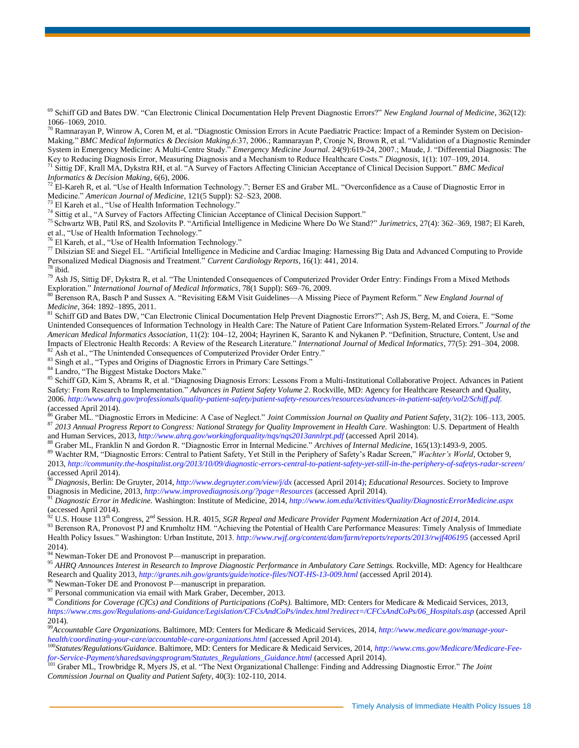<sup>69</sup> Schiff GD and Bates DW. "Can Electronic Clinical Documentation Help Prevent Diagnostic Errors?" *New England Journal of Medicine*, 362(12): 1066–1069, 2010.

<sup>70</sup> Ramnarayan P, Winrow A, Coren M, et al. "Diagnostic Omission Errors in Acute Paediatric Practice: Impact of a Reminder System on Decision-Making." *BMC Medical Informatics & Decision Making*,6:37, 2006.; Ramnarayan P, Cronje N, Brown R, et al. "Validation of a Diagnostic Reminder System in Emergency Medicine: A Multi-Centre Study." *Emergency Medicine Journal*. 24(9):619-24, 2007.; Maude, J. "Differential Diagnosis: The Key to Reducing Diagnosis Error, Measuring Diagnosis and a Mechanism to Reduce Healthcare Costs." *Diagnosis*, 1(1): 107–109, 2014.

<sup>71</sup> Sittig DF, Krall MA, Dykstra RH, et al. "A Survey of Factors Affecting Clinician Acceptance of Clinical Decision Support." *BMC Medical Informatics & Decision Making*, 6(6), 2006.

 $72^{\circ}$  El-Kareh R, et al. "Use of Health Information Technology."; Berner ES and Graber ML. "Overconfidence as a Cause of Diagnostic Error in Medicine." *American Journal of Medicine*, 121(5 Suppl): S2–S23, 2008.

<sup>73</sup> El Kareh et al., "Use of Health Information Technology."

<sup>74</sup> Sittig et al., "A Survey of Factors Affecting Clinician Acceptance of Clinical Decision Support."

<sup>75</sup> Schwartz WB, Patil RS, and Szolovits P. "Artificial Intelligence in Medicine Where Do We Stand?" *Jurimetrics*, 27(4): 362–369, 1987; El Kareh, et al., "Use of Health Information Technology."

<sup>76</sup> El Kareh, et al., "Use of Health Information Technology."

<sup>77</sup> Dilsizian SE and Siegel EL. "Artificial Intelligence in Medicine and Cardiac Imaging: Harnessing Big Data and Advanced Computing to Provide Personalized Medical Diagnosis and Treatment." *Current Cardiology Reports*, 16(1): 441, 2014.  $78$  ibid.

<sup>79</sup> Ash JS, Sittig DF, Dykstra R, et al. "The Unintended Consequences of Computerized Provider Order Entry: Findings From a Mixed Methods Exploration." *International Journal of Medical Informatics*, 78(1 Suppl): S69–76, 2009.

<sup>80</sup> Berenson RA, Basch P and Sussex A. "Revisiting E&M Visit Guidelines—A Missing Piece of Payment Reform." *New England Journal of Medicine*, 364: 1892–1895, 2011.

<sup>81</sup> Schiff GD and Bates DW, "Can Electronic Clinical Documentation Help Prevent Diagnostic Errors?"; Ash JS, Berg, M, and Coiera, E. "Some Unintended Consequences of Information Technology in Health Care: The Nature of Patient Care Information System-Related Errors." *Journal of the American Medical Informatics Association*, 11(2): 104–12, 2004; Hayrinen K, Saranto K and Nykanen P. "Definition, Structure, Content, Use and Impacts of Electronic Health Records: A Review of the Research Literature." *International Journal of Medical Informatics*, 77(5): 291–304, 2008. <sup>82</sup> Ash et al., "The Unintended Consequences of Computerized Provider Order Entry."

83 Singh et al., "Types and Origins of Diagnostic Errors in Primary Care Settings."

<sup>84</sup> Landro, "The Biggest Mistake Doctors Make."

<sup>85</sup> Schiff GD, Kim S, Abrams R, et al. "Diagnosing Diagnosis Errors: Lessons From a Multi-Institutional Collaborative Project. Advances in Patient Safety: From Research to Implementation." *Advances in Patient Safety Volume 2*. Rockville, MD: Agency for Healthcare Research and Quality, 2006. *[http://www.ahrq.gov/professionals/quality-patient-safety/patient-safety-resources/resources/advances-in-patient-safety/vol2/Schiff.pdf.](http://www.ahrq.gov/professionals/quality-patient-safety/patient-safety-resources/resources/advances-in-patient-safety/vol2/Schiff.pdf)* (accessed April 2014).

<sup>86</sup> Graber ML. "Diagnostic Errors in Medicine: A Case of Neglect." *Joint Commission Journal on Quality and Patient Safety*, 31(2): 106–113, 2005. <sup>87</sup> *2013 Annual Progress Report to Congress: National Strategy for Quality Improvement in Health Care.* Washington: U.S. Department of Health and Human Services, 2013, *<http://www.ahrq.gov/workingforquality/nqs/nqs2013annlrpt.pdf>* (accessed April 2014).

<sup>88</sup> Graber ML, Franklin N and Gordon R. "Diagnostic Error in Internal Medicine." *Archives of Internal Medicine,* 165(13):1493-9, 2005.

<sup>89</sup> Wachter RM, "Diagnostic Errors: Central to Patient Safety, Yet Still in the Periphery of Safety's Radar Screen," *Wachter's World*, October 9, 2013, *<http://community.the-hospitalist.org/2013/10/09/diagnostic-errors-central-to-patient-safety-yet-still-in-the-periphery-of-safetys-radar-screen/>* (accessed April 2014).

<sup>90</sup> *Diagnosis*, Berlin: De Gruyter, 2014, *<http://www.degruyter.com/view/j/dx>* (accessed April 2014); *Educational Resources*. Society to Improve Diagnosis in Medicine, 2013, *<http://www.improvediagnosis.org/?page=Resources>* (accessed April 2014).

<sup>91</sup> *Diagnostic Error in Medicine.* Washington: Institute of Medicine, 2014, *<http://www.iom.edu/Activities/Quality/DiagnosticErrorMedicine.aspx>* (accessed April 2014).

U.S. House 113<sup>th</sup> Congress, 2<sup>nd</sup> Session. H.R. 4015, *SGR Repeal and Medicare Provider Payment Modernization Act of 2014*, 2014.

93 Berenson RA, Pronovost PJ and Krumholtz HM. "Achieving the Potential of Health Care Performance Measures: Timely Analysis of Immediate Health Policy Issues." Washington: Urban Institute, 2013. *<http://www.rwjf.org/content/dam/farm/reports/reports/2013/rwjf406195>* (accessed April 2014).

<sup>94</sup> Newman-Toker DE and Pronovost P—manuscript in preparation.

<sup>95</sup> AHRQ Announces Interest in Research to Improve Diagnostic Performance in Ambulatory Care Settings. Rockville, MD: Agency for Healthcare Research and Quality 2013, *<http://grants.nih.gov/grants/guide/notice-files/NOT-HS-13-009.html>* (accessed April 2014).

 $96$  Newman-Toker DE and Pronovost P—manuscript in preparation.

 $^{97}$  Personal communication via email with Mark Graber, December, 2013.

<sup>98</sup> *Conditions for Coverage (CfCs) and Conditions of Participations (CoPs).* Baltimore, MD: Centers for Medicare & Medicaid Services, 2013, *[https://www.cms.gov/Regulations-and-Guidance/Legislation/CFCsAndCoPs/index.html?redirect=/CFCsAndCoPs/06\\_Hospitals.asp](https://www.cms.gov/Regulations-and-Guidance/Legislation/CFCsAndCoPs/index.html?redirect=/CFCsAndCoPs/06_Hospitals.asp)* (accessed April 2014)*.*

<sup>99</sup>*Accountable Care Organizations*. Baltimore, MD: Centers for Medicare & Medicaid Services, 2014, *[http://www.medicare.gov/manage-your](http://www.medicare.gov/manage-your-health/coordinating-your-care/accountable-care-organizations.html)[health/coordinating-your-care/accountable-care-organizations.html](http://www.medicare.gov/manage-your-health/coordinating-your-care/accountable-care-organizations.html)* (accessed April 2014).

<sup>100</sup>*Statutes/Regulations/Guidance.* Baltimore, MD: Centers for Medicare & Medicaid Services, 2014, *[http://www.cms.gov/Medicare/Medicare-Fee](http://www.cms.gov/Medicare/Medicare-Fee-for-Service-Payment/sharedsavingsprogram/Statutes_Regulations_Guidance.html)[for-Service-Payment/sharedsavingsprogram/Statutes\\_Regulations\\_Guidance.html](http://www.cms.gov/Medicare/Medicare-Fee-for-Service-Payment/sharedsavingsprogram/Statutes_Regulations_Guidance.html)* (accessed April 2014).

<sup>101</sup> Graber ML, Trowbridge R, Myers JS, et al. "The Next Organizational Challenge: Finding and Addressing Diagnostic Error." *The Joint Commission Journal on Quality and Patient Safety*, 40(3): 102-110, 2014.